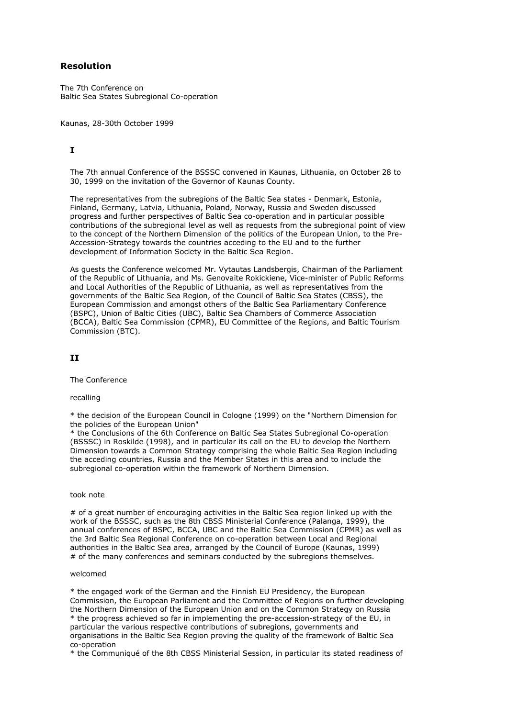## **Resolution**

The 7th Conference on Baltic Sea States Subregional Co-operation

Kaunas, 28-30th October 1999

# **I**

The 7th annual Conference of the BSSSC convened in Kaunas, Lithuania, on October 28 to 30, 1999 on the invitation of the Governor of Kaunas County.

The representatives from the subregions of the Baltic Sea states - Denmark, Estonia, Finland, Germany, Latvia, Lithuania, Poland, Norway, Russia and Sweden discussed progress and further perspectives of Baltic Sea co-operation and in particular possible contributions of the subregional level as well as requests from the subregional point of view to the concept of the Northern Dimension of the politics of the European Union, to the Pre-Accession-Strategy towards the countries acceding to the EU and to the further development of Information Society in the Baltic Sea Region.

As guests the Conference welcomed Mr. Vytautas Landsbergis, Chairman of the Parliament of the Republic of Lithuania, and Ms. Genovaite Rokickiene, Vice-minister of Public Reforms and Local Authorities of the Republic of Lithuania, as well as representatives from the governments of the Baltic Sea Region, of the Council of Baltic Sea States (CBSS), the European Commission and amongst others of the Baltic Sea Parliamentary Conference (BSPC), Union of Baltic Cities (UBC), Baltic Sea Chambers of Commerce Association (BCCA), Baltic Sea Commission (CPMR), EU Committee of the Regions, and Baltic Tourism Commission (BTC).

## **II**

The Conference

recalling

\* the decision of the European Council in Cologne (1999) on the "Northern Dimension for the policies of the European Union"

\* the Conclusions of the 6th Conference on Baltic Sea States Subregional Co-operation (BSSSC) in Roskilde (1998), and in particular its call on the EU to develop the Northern Dimension towards a Common Strategy comprising the whole Baltic Sea Region including the acceding countries, Russia and the Member States in this area and to include the subregional co-operation within the framework of Northern Dimension.

#### took note

# of a great number of encouraging activities in the Baltic Sea region linked up with the work of the BSSSC, such as the 8th CBSS Ministerial Conference (Palanga, 1999), the annual conferences of BSPC, BCCA, UBC and the Baltic Sea Commission (CPMR) as well as the 3rd Baltic Sea Regional Conference on co-operation between Local and Regional authorities in the Baltic Sea area, arranged by the Council of Europe (Kaunas, 1999) # of the many conferences and seminars conducted by the subregions themselves.

#### welcomed

\* the engaged work of the German and the Finnish EU Presidency, the European Commission, the European Parliament and the Committee of Regions on further developing the Northern Dimension of the European Union and on the Common Strategy on Russia \* the progress achieved so far in implementing the pre-accession-strategy of the EU, in particular the various respective contributions of subregions, governments and organisations in the Baltic Sea Region proving the quality of the framework of Baltic Sea co-operation

\* the Communiqué of the 8th CBSS Ministerial Session, in particular its stated readiness of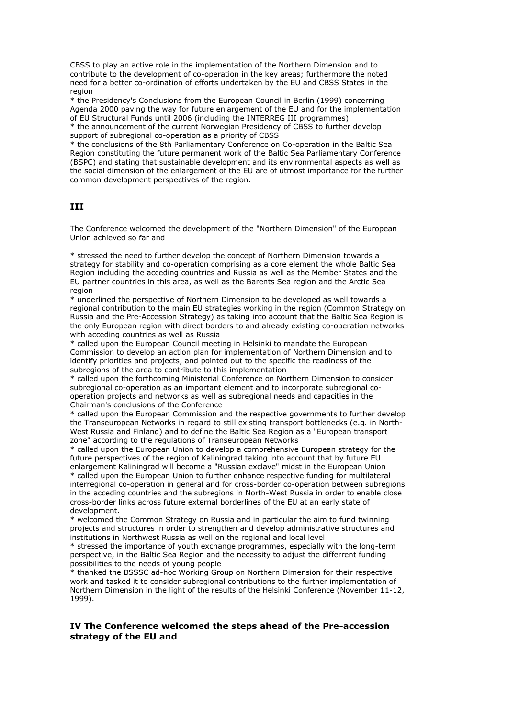CBSS to play an active role in the implementation of the Northern Dimension and to contribute to the development of co-operation in the key areas; furthermore the noted need for a better co-ordination of efforts undertaken by the EU and CBSS States in the region

\* the Presidency's Conclusions from the European Council in Berlin (1999) concerning Agenda 2000 paving the way for future enlargement of the EU and for the implementation of EU Structural Funds until 2006 (including the INTERREG III programmes)

\* the announcement of the current Norwegian Presidency of CBSS to further develop support of subregional co-operation as a priority of CBSS

\* the conclusions of the 8th Parliamentary Conference on Co-operation in the Baltic Sea Region constituting the future permanent work of the Baltic Sea Parliamentary Conference (BSPC) and stating that sustainable development and its environmental aspects as well as the social dimension of the enlargement of the EU are of utmost importance for the further common development perspectives of the region.

# **III**

The Conference welcomed the development of the "Northern Dimension" of the European Union achieved so far and

\* stressed the need to further develop the concept of Northern Dimension towards a strategy for stability and co-operation comprising as a core element the whole Baltic Sea Region including the acceding countries and Russia as well as the Member States and the EU partner countries in this area, as well as the Barents Sea region and the Arctic Sea region

\* underlined the perspective of Northern Dimension to be developed as well towards a regional contribution to the main EU strategies working in the region (Common Strategy on Russia and the Pre-Accession Strategy) as taking into account that the Baltic Sea Region is the only European region with direct borders to and already existing co-operation networks with acceding countries as well as Russia

\* called upon the European Council meeting in Helsinki to mandate the European Commission to develop an action plan for implementation of Northern Dimension and to identify priorities and projects, and pointed out to the specific the readiness of the subregions of the area to contribute to this implementation

\* called upon the forthcoming Ministerial Conference on Northern Dimension to consider subregional co-operation as an important element and to incorporate subregional cooperation projects and networks as well as subregional needs and capacities in the Chairman's conclusions of the Conference

\* called upon the European Commission and the respective governments to further develop the Transeuropean Networks in regard to still existing transport bottlenecks (e.g. in North-West Russia and Finland) and to define the Baltic Sea Region as a "European transport zone" according to the regulations of Transeuropean Networks

\* called upon the European Union to develop a comprehensive European strategy for the future perspectives of the region of Kaliningrad taking into account that by future EU enlargement Kaliningrad will become a "Russian exclave" midst in the European Union \* called upon the European Union to further enhance respective funding for multilateral interregional co-operation in general and for cross-border co-operation between subregions in the acceding countries and the subregions in North-West Russia in order to enable close cross-border links across future external borderlines of the EU at an early state of development.

\* welcomed the Common Strategy on Russia and in particular the aim to fund twinning projects and structures in order to strengthen and develop administrative structures and institutions in Northwest Russia as well on the regional and local level

\* stressed the importance of youth exchange programmes, especially with the long-term perspective, in the Baltic Sea Region and the necessity to adjust the differrent funding possibilities to the needs of young people

\* thanked the BSSSC ad-hoc Working Group on Northern Dimension for their respective work and tasked it to consider subregional contributions to the further implementation of Northern Dimension in the light of the results of the Helsinki Conference (November 11-12, 1999).

## **IV The Conference welcomed the steps ahead of the Pre-accession strategy of the EU and**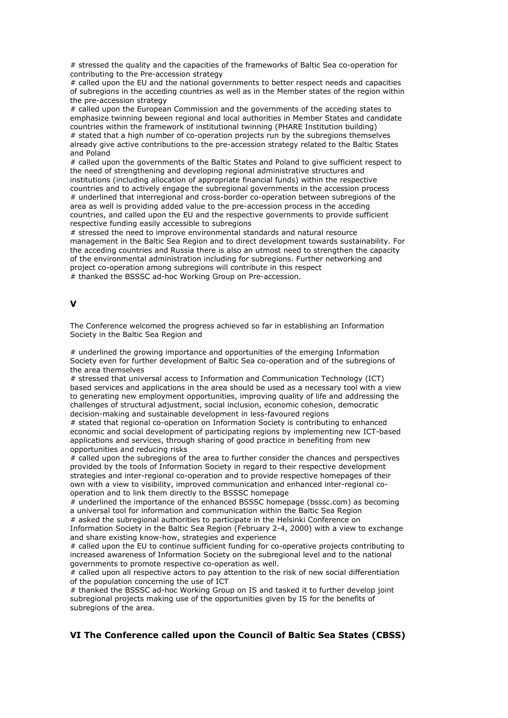# stressed the quality and the capacities of the frameworks of Baltic Sea co-operation for contributing to the Pre-accession strategy

# called upon the EU and the national governments to better respect needs and capacities of subregions in the acceding countries as well as in the Member states of the region within the pre-accession strategy

# called upon the European Commission and the governments of the acceding states to emphasize twinning beween regional and local authorities in Member States and candidate countries within the framework of institutional twinning (PHARE Institution building) # stated that a high number of co-operation projects run by the subregions themselves already give active contributions to the pre-accession strategy related to the Baltic States and Poland

# called upon the governments of the Baltic States and Poland to give sufficient respect to the need of strengthening and developing regional administrative structures and institutions (including allocation of appropriate financial funds) within the respective countries and to actively engage the subregional governments in the accession process # underlined that interregional and cross-border co-operation between subregions of the area as well is providing added value to the pre-accession process in the acceding countries, and called upon the EU and the respective governments to provide sufficient respective funding easily accessible to subregions

# stressed the need to improve environmental standards and natural resource management in the Baltic Sea Region and to direct development towards sustainability. For the acceding countries and Russia there is also an utmost need to strengthen the capacity of the environmental administration including for subregions. Further networking and project co-operation among subregions will contribute in this respect # thanked the BSSSC ad-hoc Working Group on Pre-accession.

#### **V**

The Conference welcomed the progress achieved so far in establishing an Information Society in the Baltic Sea Region and

# underlined the growing importance and opportunities of the emerging Information Society even for further development of Baltic Sea co-operation and of the subregions of the area themselves

# stressed that universal access to Information and Communication Technology (ICT) based services and applications in the area should be used as a necessary tool with a view to generating new employment opportunities, improving quality of life and addressing the challenges of structural adjustment, social inclusion, economic cohesion, democratic decision-making and sustainable development in less-favoured regions

# stated that regional co-operation on Information Society is contributing to enhanced economic and social development of participating regions by implementing new ICT-based applications and services, through sharing of good practice in benefiting from new opportunities and reducing risks

# called upon the subregions of the area to further consider the chances and perspectives provided by the tools of Information Society in regard to their respective development strategies and inter-regional co-operation and to provide respective homepages of their own with a view to visibility, improved communication and enhanced inter-regional cooperation and to link them directly to the BSSSC homepage

# underlined the importance of the enhanced BSSSC homepage (bsssc.com) as becoming a universal tool for information and communication within the Baltic Sea Region # asked the subregional authorities to participate in the Helsinki Conference on

Information Society in the Baltic Sea Region (February 2-4, 2000) with a view to exchange and share existing know-how, strategies and experience

# called upon the EU to continue sufficient funding for co-operative projects contributing to increased awareness of Information Society on the subregional level and to the national governments to promote respective co-operation as well.

 $#$  called upon all respective actors to pay attention to the risk of new social differentiation of the population concerning the use of ICT

# thanked the BSSSC ad-hoc Working Group on IS and tasked it to further develop joint subregional projects making use of the opportunities given by IS for the benefits of subregions of the area.

## **VI The Conference called upon the Council of Baltic Sea States (CBSS)**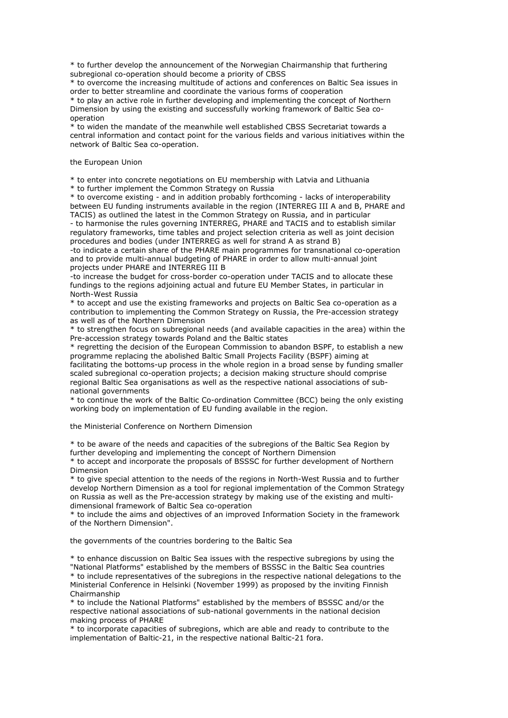\* to further develop the announcement of the Norwegian Chairmanship that furthering subregional co-operation should become a priority of CBSS

\* to overcome the increasing multitude of actions and conferences on Baltic Sea issues in order to better streamline and coordinate the various forms of cooperation

\* to play an active role in further developing and implementing the concept of Northern Dimension by using the existing and successfully working framework of Baltic Sea cooperation

\* to widen the mandate of the meanwhile well established CBSS Secretariat towards a central information and contact point for the various fields and various initiatives within the network of Baltic Sea co-operation.

the European Union

\* to enter into concrete negotiations on EU membership with Latvia and Lithuania

\* to further implement the Common Strategy on Russia

\* to overcome existing - and in addition probably forthcoming - lacks of interoperability between EU funding instruments available in the region (INTERREG III A and B, PHARE and TACIS) as outlined the latest in the Common Strategy on Russia, and in particular

- to harmonise the rules governing INTERREG, PHARE and TACIS and to establish similar regulatory frameworks, time tables and project selection criteria as well as joint decision procedures and bodies (under INTERREG as well for strand A as strand B)

-to indicate a certain share of the PHARE main programmes for transnational co-operation and to provide multi-annual budgeting of PHARE in order to allow multi-annual joint projects under PHARE and INTERREG III B

-to increase the budget for cross-border co-operation under TACIS and to allocate these fundings to the regions adjoining actual and future EU Member States, in particular in North-West Russia

\* to accept and use the existing frameworks and projects on Baltic Sea co-operation as a contribution to implementing the Common Strategy on Russia, the Pre-accession strategy as well as of the Northern Dimension

\* to strengthen focus on subregional needs (and available capacities in the area) within the Pre-accession strategy towards Poland and the Baltic states

\* regretting the decision of the European Commission to abandon BSPF, to establish a new programme replacing the abolished Baltic Small Projects Facility (BSPF) aiming at

facilitating the bottoms-up process in the whole region in a broad sense by funding smaller scaled subregional co-operation projects; a decision making structure should comprise regional Baltic Sea organisations as well as the respective national associations of subnational governments

\* to continue the work of the Baltic Co-ordination Committee (BCC) being the only existing working body on implementation of EU funding available in the region.

the Ministerial Conference on Northern Dimension

\* to be aware of the needs and capacities of the subregions of the Baltic Sea Region by further developing and implementing the concept of Northern Dimension

\* to accept and incorporate the proposals of BSSSC for further development of Northern Dimension

\* to give special attention to the needs of the regions in North-West Russia and to further develop Northern Dimension as a tool for regional implementation of the Common Strategy on Russia as well as the Pre-accession strategy by making use of the existing and multidimensional framework of Baltic Sea co-operation

\* to include the aims and objectives of an improved Information Society in the framework of the Northern Dimension".

the governments of the countries bordering to the Baltic Sea

\* to enhance discussion on Baltic Sea issues with the respective subregions by using the "National Platforms" established by the members of BSSSC in the Baltic Sea countries \* to include representatives of the subregions in the respective national delegations to the Ministerial Conference in Helsinki (November 1999) as proposed by the inviting Finnish Chairmanship

\* to include the National Platforms" established by the members of BSSSC and/or the respective national associations of sub-national governments in the national decision making process of PHARE

\* to incorporate capacities of subregions, which are able and ready to contribute to the implementation of Baltic-21, in the respective national Baltic-21 fora.